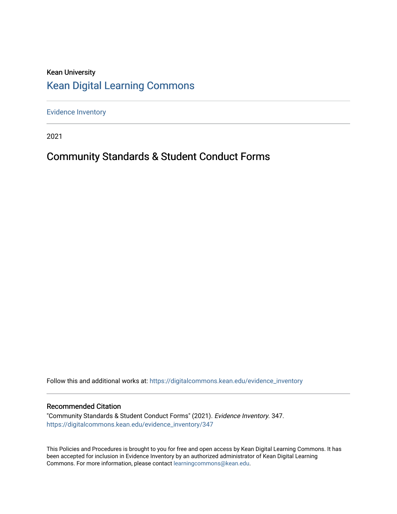### Kean University [Kean Digital Learning Commons](https://digitalcommons.kean.edu/)

[Evidence Inventory](https://digitalcommons.kean.edu/evidence_inventory) 

2021

### Community Standards & Student Conduct Forms

Follow this and additional works at: [https://digitalcommons.kean.edu/evidence\\_inventory](https://digitalcommons.kean.edu/evidence_inventory?utm_source=digitalcommons.kean.edu%2Fevidence_inventory%2F347&utm_medium=PDF&utm_campaign=PDFCoverPages)

### Recommended Citation

"Community Standards & Student Conduct Forms" (2021). Evidence Inventory. 347. [https://digitalcommons.kean.edu/evidence\\_inventory/347](https://digitalcommons.kean.edu/evidence_inventory/347?utm_source=digitalcommons.kean.edu%2Fevidence_inventory%2F347&utm_medium=PDF&utm_campaign=PDFCoverPages)

This Policies and Procedures is brought to you for free and open access by Kean Digital Learning Commons. It has been accepted for inclusion in Evidence Inventory by an authorized administrator of Kean Digital Learning Commons. For more information, please contact [learningcommons@kean.edu.](mailto:learningcommons@kean.edu)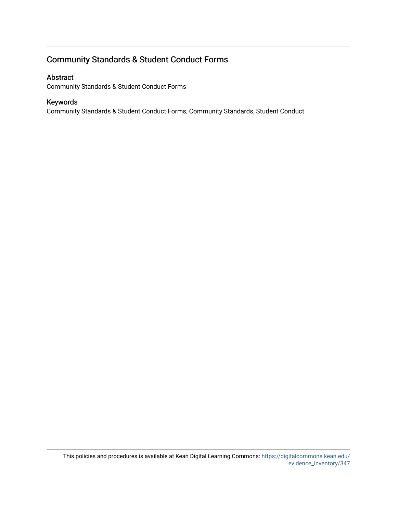### Community Standards & Student Conduct Forms

### Abstract

Community Standards & Student Conduct Forms

### Keywords

Community Standards & Student Conduct Forms, Community Standards, Student Conduct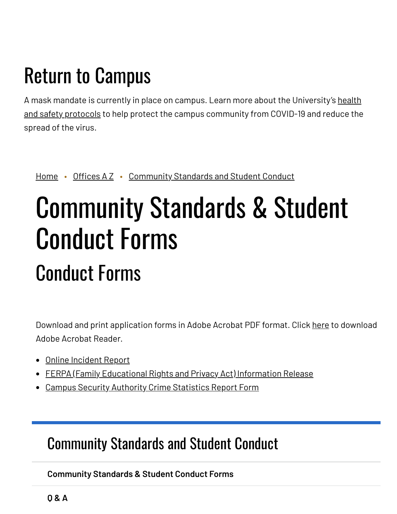## Return to Campus

A mask mandate is currently in place on campus. Learn more about the [University's](https://www.kean.edu/welcome-fall-2021-semester) health and safety protocols to help protect the campus community from COVID-19 and reduce the spread of the virus.

[Home](https://www.kean.edu/) • [Offices](https://www.kean.edu/offices) AZ • [Community](https://www.kean.edu/offices/community-standards-and-student-conduct) Standards and Student Conduct

# Community Standards & Student Conduct Forms Conduct Forms

Download and print application forms in Adobe Acrobat PDF format. Click [here](http://get.adobe.com/reader/) to download Adobe Acrobat Reader.

- Online [Incident](https://publicdocs.maxient.com/incidentreport.php?KeanUniv) Report
- FERPA (Family [Educational](https://webreg.kean.edu/) Rights and Privacy Act) Information Release
- Campus Security Authority Crime [Statistics](https://www.kean.edu/sites/default/files/2018-07/CSAReportForm_0.pdf) Report Form

### [Community](https://www.kean.edu/offices/community-standards-and-student-conduct) Standards and Student Conduct

**[Community](https://www.kean.edu/offices/community-standards-and-student-conduct/community-standards-student-conduct-forms) Standards & Student Conduct Forms**